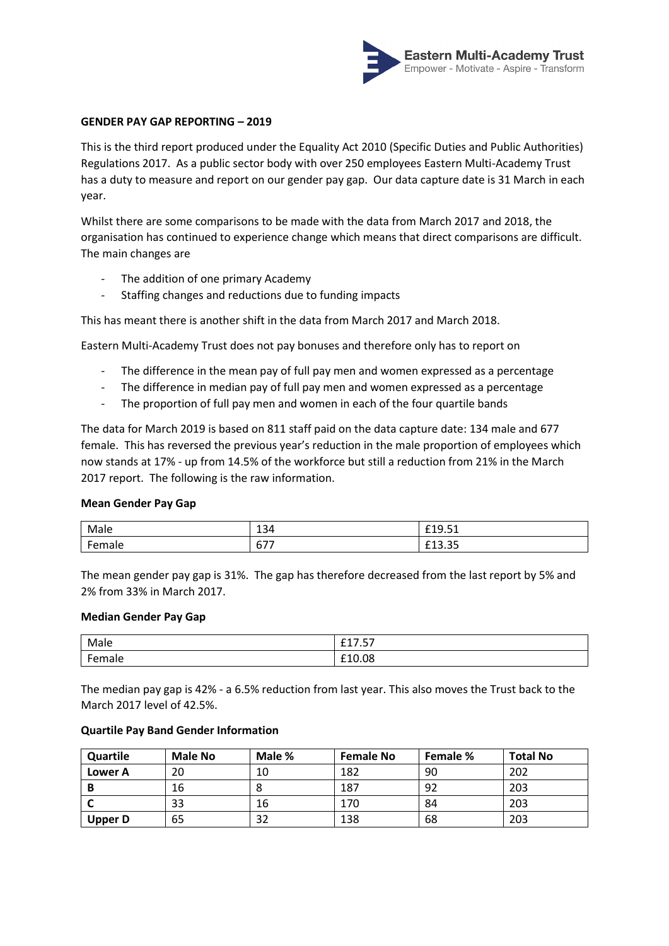

## **GENDER PAY GAP REPORTING – 2019**

This is the third report produced under the Equality Act 2010 (Specific Duties and Public Authorities) Regulations 2017. As a public sector body with over 250 employees Eastern Multi-Academy Trust has a duty to measure and report on our gender pay gap. Our data capture date is 31 March in each year.

Whilst there are some comparisons to be made with the data from March 2017 and 2018, the organisation has continued to experience change which means that direct comparisons are difficult. The main changes are

- The addition of one primary Academy
- Staffing changes and reductions due to funding impacts

This has meant there is another shift in the data from March 2017 and March 2018.

Eastern Multi-Academy Trust does not pay bonuses and therefore only has to report on

- The difference in the mean pay of full pay men and women expressed as a percentage
- The difference in median pay of full pay men and women expressed as a percentage
- The proportion of full pay men and women in each of the four quartile bands

The data for March 2019 is based on 811 staff paid on the data capture date: 134 male and 677 female. This has reversed the previous year's reduction in the male proportion of employees which now stands at 17% - up from 14.5% of the workforce but still a reduction from 21% in the March 2017 report. The following is the raw information.

## **Mean Gender Pay Gap**

| Male   | 121<br>154     | $\mathbf{r}$<br>0.10<br>ч<br>. . <i>.</i> .<br>______ |
|--------|----------------|-------------------------------------------------------|
| Female | $- - -$<br>O/I | $\sim$ $\sim$<br><b>CAO</b><br><b>LLJ.JJ</b>          |

The mean gender pay gap is 31%. The gap has therefore decreased from the last report by 5% and 2% from 33% in March 2017.

#### **Median Gender Pay Gap**

| Male                | $ -$<br>$\sim$ $-$<br>-- <i>--</i> |
|---------------------|------------------------------------|
| ۔ ۔۔۔ ۔ '<br>·emale | £10.08                             |

The median pay gap is 42% - a 6.5% reduction from last year. This also moves the Trust back to the March 2017 level of 42.5%.

### **Quartile Pay Band Gender Information**

| Quartile       | Male No | Male % | <b>Female No</b> | Female % | <b>Total No</b> |
|----------------|---------|--------|------------------|----------|-----------------|
| Lower A        | 20      | 10     | 182              | 90       | 202             |
| В              | 16      |        | 187              | 92       | 203             |
|                | 33      | 16     | 170              | 84       | 203             |
| <b>Upper D</b> | 65      | 32     | 138              | 68       | 203             |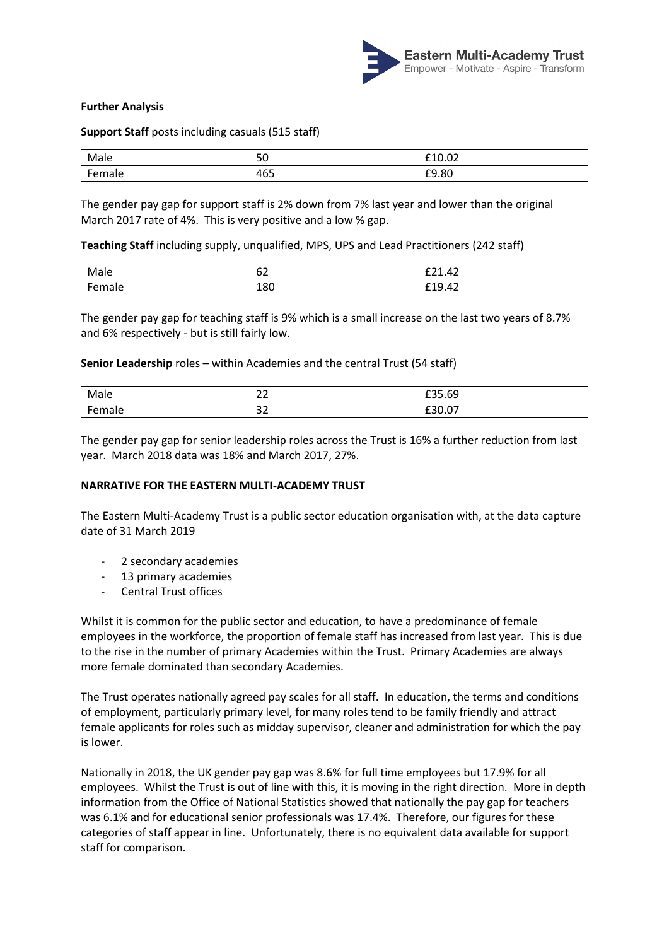

# **Further Analysis**

**Support Staff** posts including casuals (515 staff)

| Male<br>_____ | 50  | $\sim$ $\sim$<br><b>CA</b><br>LIU.UZ<br>$   -$ |
|---------------|-----|------------------------------------------------|
| emale         | 465 | £9.80                                          |

The gender pay gap for support staff is 2% down from 7% last year and lower than the original March 2017 rate of 4%. This is very positive and a low % gap.

**Teaching Staff** including supply, unqualified, MPS, UPS and Lead Practitioners (242 staff)

| Male                       | $\sim$<br>∽<br>υ∠ | $\sim$ $\sim$<br>42<br>----- |
|----------------------------|-------------------|------------------------------|
| $F^{\text{max}}$<br>·emale | 180               | £19.42                       |

The gender pay gap for teaching staff is 9% which is a small increase on the last two years of 8.7% and 6% respectively - but is still fairly low.

**Senior Leadership** roles – within Academies and the central Trust (54 staff)

| Male<br>____                             | $\sim$<br><u>. .</u> | $\sim$ $\sim$ $\sim$<br><b>LJJ.VJ</b> |
|------------------------------------------|----------------------|---------------------------------------|
| $\overline{\phantom{0}}$<br>$-$<br>emale | $\sim$<br>эz         | $\sim$<br><b>LJU.U</b>                |

The gender pay gap for senior leadership roles across the Trust is 16% a further reduction from last year. March 2018 data was 18% and March 2017, 27%.

## **NARRATIVE FOR THE EASTERN MULTI-ACADEMY TRUST**

The Eastern Multi-Academy Trust is a public sector education organisation with, at the data capture date of 31 March 2019

- 2 secondary academies
- 13 primary academies
- Central Trust offices

Whilst it is common for the public sector and education, to have a predominance of female employees in the workforce, the proportion of female staff has increased from last year. This is due to the rise in the number of primary Academies within the Trust. Primary Academies are always more female dominated than secondary Academies.

The Trust operates nationally agreed pay scales for all staff. In education, the terms and conditions of employment, particularly primary level, for many roles tend to be family friendly and attract female applicants for roles such as midday supervisor, cleaner and administration for which the pay is lower.

Nationally in 2018, the UK gender pay gap was 8.6% for full time employees but 17.9% for all employees. Whilst the Trust is out of line with this, it is moving in the right direction. More in depth information from the Office of National Statistics showed that nationally the pay gap for teachers was 6.1% and for educational senior professionals was 17.4%. Therefore, our figures for these categories of staff appear in line. Unfortunately, there is no equivalent data available for support staff for comparison.